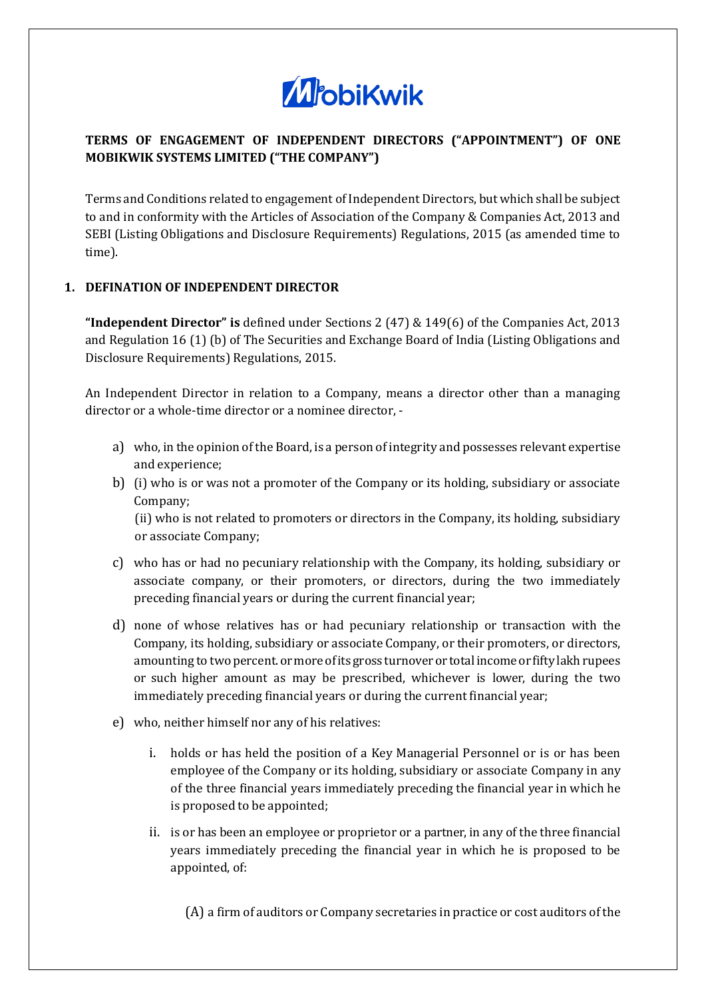

# **TERMS OF ENGAGEMENT OF INDEPENDENT DIRECTORS ("APPOINTMENT") OF ONE MOBIKWIK SYSTEMS LIMITED ("THE COMPANY")**

Terms and Conditions related to engagement of Independent Directors, but which shall be subject to and in conformity with the Articles of Association of the Company & Companies Act, 2013 and SEBI (Listing Obligations and Disclosure Requirements) Regulations, 2015 (as amended time to time).

# **1. DEFINATION OF INDEPENDENT DIRECTOR**

**"Independent Director" is** defined under Sections 2 (47) & 149(6) of the Companies Act, 2013 and Regulation 16 (1) (b) of The Securities and Exchange Board of India (Listing Obligations and Disclosure Requirements) Regulations, 2015.

An Independent Director in relation to a Company, means a director other than a managing director or a whole-time director or a nominee director, -

- a) who, in the opinion of the Board, is a person of integrity and possesses relevant expertise and experience;
- b) (i) who is or was not a promoter of the Company or its holding, subsidiary or associate Company; (ii) who is not related to promoters or directors in the Company, its holding, subsidiary or associate Company;
- c) who has or had no pecuniary relationship with the Company, its holding, subsidiary or associate company, or their promoters, or directors, during the two immediately preceding financial years or during the current financial year;
- d) none of whose relatives has or had pecuniary relationship or transaction with the Company, its holding, subsidiary or associate Company, or their promoters, or directors, amounting to two percent. or more of its gross turnover or total income or fifty lakh rupees or such higher amount as may be prescribed, whichever is lower, during the two immediately preceding financial years or during the current financial year;
- e) who, neither himself nor any of his relatives:
	- i. holds or has held the position of a Key Managerial Personnel or is or has been employee of the Company or its holding, subsidiary or associate Company in any of the three financial years immediately preceding the financial year in which he is proposed to be appointed;
	- ii. is or has been an employee or proprietor or a partner, in any of the three financial years immediately preceding the financial year in which he is proposed to be appointed, of:

(A) a firm of auditors or Company secretaries in practice or cost auditors of the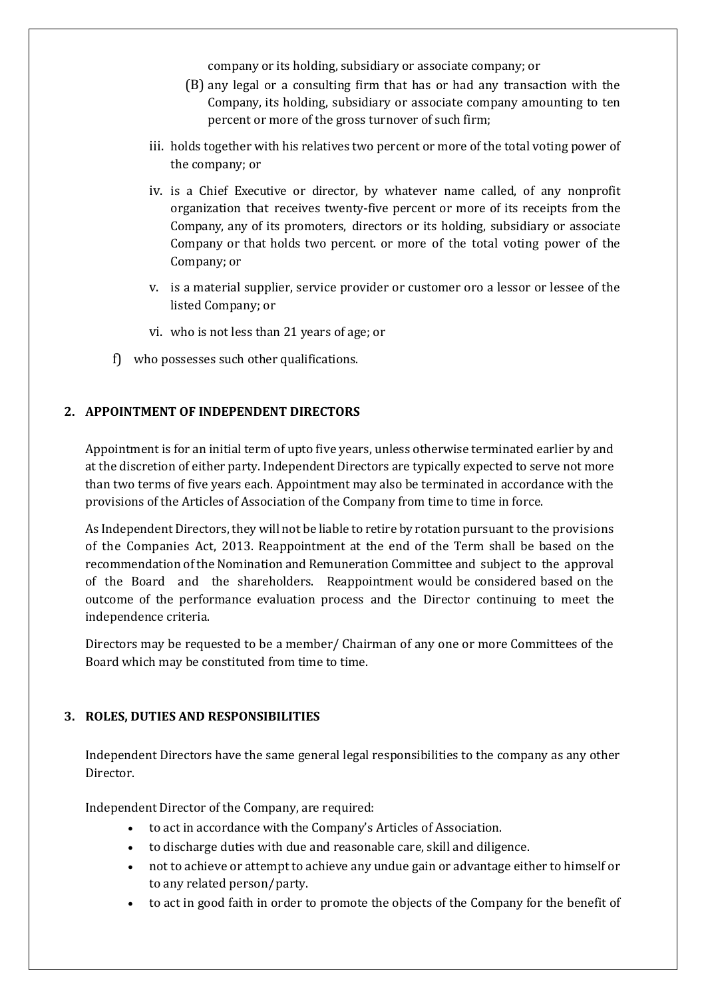company or its holding, subsidiary or associate company; or

- (B) any legal or a consulting firm that has or had any transaction with the Company, its holding, subsidiary or associate company amounting to ten percent or more of the gross turnover of such firm;
- iii. holds together with his relatives two percent or more of the total voting power of the company; or
- iv. is a Chief Executive or director, by whatever name called, of any nonprofit organization that receives twenty-five percent or more of its receipts from the Company, any of its promoters, directors or its holding, subsidiary or associate Company or that holds two percent. or more of the total voting power of the Company; or
- v. is a material supplier, service provider or customer oro a lessor or lessee of the listed Company; or
- vi. who is not less than 21 years of age; or
- f) who possesses such other qualifications.

# **2. APPOINTMENT OF INDEPENDENT DIRECTORS**

Appointment is for an initial term of upto five years, unless otherwise terminated earlier by and at the discretion of either party. Independent Directors are typically expected to serve not more than two terms of five years each. Appointment may also be terminated in accordance with the provisions of the Articles of Association of the Company from time to time in force.

As Independent Directors, they will not be liable to retire by rotation pursuant to the provisions of the Companies Act, 2013. Reappointment at the end of the Term shall be based on the recommendation of the Nomination and Remuneration Committee and subject to the approval of the Board and the shareholders. Reappointment would be considered based on the outcome of the performance evaluation process and the Director continuing to meet the independence criteria.

Directors may be requested to be a member/ Chairman of any one or more Committees of the Board which may be constituted from time to time.

# **3. ROLES, DUTIES AND RESPONSIBILITIES**

Independent Directors have the same general legal responsibilities to the company as any other Director.

Independent Director of the Company, are required:

- to act in accordance with the Company's Articles of Association.
- to discharge duties with due and reasonable care, skill and diligence.
- not to achieve or attempt to achieve any undue gain or advantage either to himself or to any related person/party.
- to act in good faith in order to promote the objects of the Company for the benefit of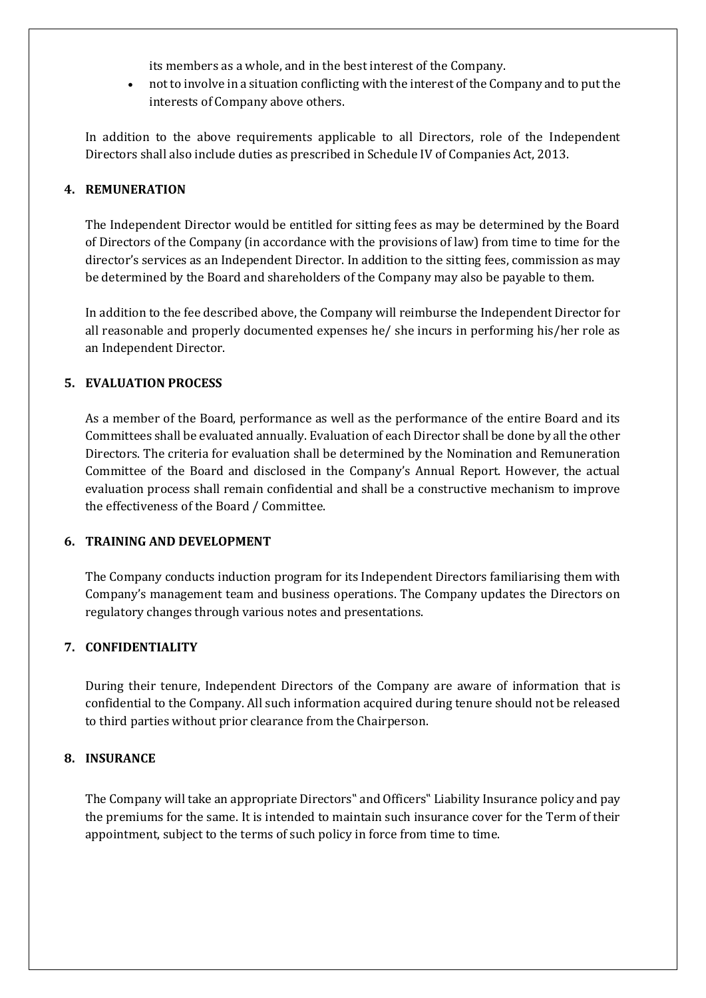its members as a whole, and in the best interest of the Company.

• not to involve in a situation conflicting with the interest of the Company and to put the interests of Company above others.

In addition to the above requirements applicable to all Directors, role of the Independent Directors shall also include duties as prescribed in Schedule IV of Companies Act, 2013.

#### **4. REMUNERATION**

The Independent Director would be entitled for sitting fees as may be determined by the Board of Directors of the Company (in accordance with the provisions of law) from time to time for the director's services as an Independent Director. In addition to the sitting fees, commission as may be determined by the Board and shareholders of the Company may also be payable to them.

In addition to the fee described above, the Company will reimburse the Independent Director for all reasonable and properly documented expenses he/ she incurs in performing his/her role as an Independent Director.

#### **5. EVALUATION PROCESS**

As a member of the Board, performance as well as the performance of the entire Board and its Committees shall be evaluated annually. Evaluation of each Director shall be done by all the other Directors. The criteria for evaluation shall be determined by the Nomination and Remuneration Committee of the Board and disclosed in the Company's Annual Report. However, the actual evaluation process shall remain confidential and shall be a constructive mechanism to improve the effectiveness of the Board / Committee.

#### **6. TRAINING AND DEVELOPMENT**

The Company conducts induction program for its Independent Directors familiarising them with Company's management team and business operations. The Company updates the Directors on regulatory changes through various notes and presentations.

# **7. CONFIDENTIALITY**

During their tenure, Independent Directors of the Company are aware of information that is confidential to the Company. All such information acquired during tenure should not be released to third parties without prior clearance from the Chairperson.

#### **8. INSURANCE**

The Company will take an appropriate Directors" and Officers" Liability Insurance policy and pay the premiums for the same. It is intended to maintain such insurance cover for the Term of their appointment, subject to the terms of such policy in force from time to time.